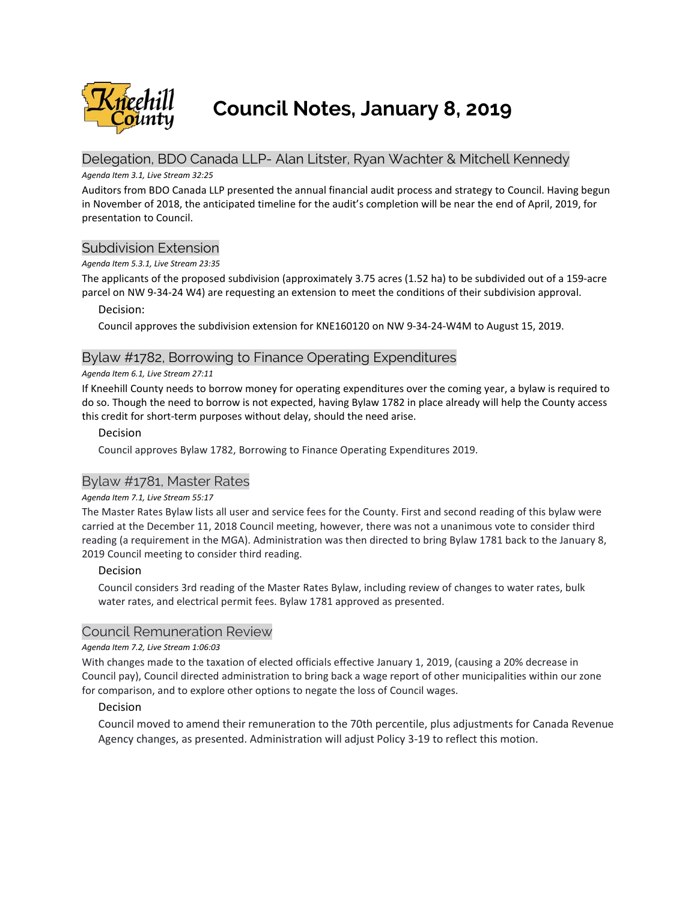

**Council Notes, January 8, 2019**

# Delegation, BDO Canada LLP- Alan Litster, Ryan Wachter & Mitchell Kennedy

### *Agenda Item 3.1, Live Stream 32:25*

Auditors from BDO Canada LLP presented the annual financial audit process and strategy to Council. Having begun in November of 2018, the anticipated timeline for the audit's completion will be near the end of April, 2019, for presentation to Council.

# Subdivision Extension

### *Agenda Item 5.3.1, Live Stream 23:35*

The applicants of the proposed subdivision (approximately 3.75 acres (1.52 ha) to be subdivided out of a 159-acre parcel on NW 9-34-24 W4) are requesting an extension to meet the conditions of their subdivision approval.

Decision:

Council approves the subdivision extension for KNE160120 on NW 9-34-24-W4M to August 15, 2019.

# Bylaw #1782, Borrowing to Finance Operating Expenditures

### *Agenda Item 6.1, Live Stream 27:11*

If Kneehill County needs to borrow money for operating expenditures over the coming year, a bylaw is required to do so. Though the need to borrow is not expected, having Bylaw 1782 in place already will help the County access this credit for short-term purposes without delay, should the need arise.

# Decision

Council approves Bylaw 1782, Borrowing to Finance Operating Expenditures 2019.

# Bylaw #1781, Master Rates

### *Agenda Item 7.1, Live Stream 55:17*

The Master Rates Bylaw lists all user and service fees for the County. First and second reading of this bylaw were carried at the December 11, 2018 Council meeting, however, there was not a unanimous vote to consider third reading (a requirement in the MGA). Administration was then directed to bring Bylaw 1781 back to the January 8, 2019 Council meeting to consider third reading.

# Decision

Council considers 3rd reading of the Master Rates Bylaw, including review of changes to water rates, bulk water rates, and electrical permit fees. Bylaw 1781 approved as presented.

# Council Remuneration Review

### *Agenda Item 7.2, Live Stream 1:06:03*

With changes made to the taxation of elected officials effective January 1, 2019, (causing a 20% decrease in Council pay), Council directed administration to bring back a wage report of other municipalities within our zone for comparison, and to explore other options to negate the loss of Council wages.

# Decision

Council moved to amend their remuneration to the 70th percentile, plus adjustments for Canada Revenue Agency changes, as presented. Administration will adjust Policy 3-19 to reflect this motion.